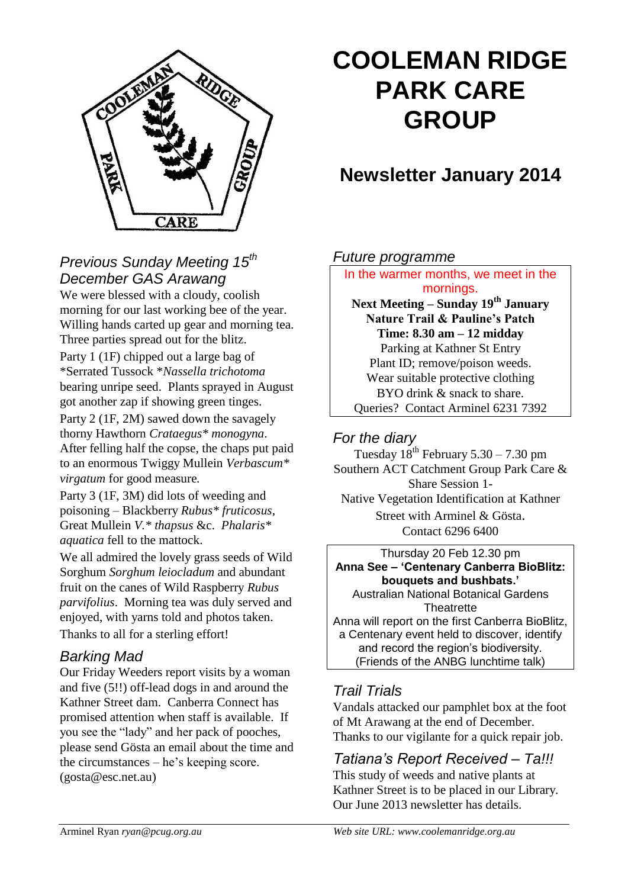

# **COOLEMAN RIDGE PARK CARE GROUP**

# **Newsletter January 2014**

## *Previous Sunday Meeting 15th December GAS Arawang*

We were blessed with a cloudy, coolish morning for our last working bee of the year. Willing hands carted up gear and morning tea. Three parties spread out for the blitz.

Party 1 (1F) chipped out a large bag of \*Serrated Tussock \**Nassella trichotoma* bearing unripe seed. Plants sprayed in August got another zap if showing green tinges.

Party 2 (1F, 2M) sawed down the savagely thorny Hawthorn *Crataegus\* monogyna*. After felling half the copse, the chaps put paid to an enormous Twiggy Mullein *Verbascum\* virgatum* for good measure*.*

Party 3 (1F, 3M) did lots of weeding and poisoning – Blackberry *Rubus\* fruticosus*, Great Mullein *V.\* thapsus* &c. *Phalaris\* aquatica* fell to the mattock.

We all admired the lovely grass seeds of Wild Sorghum *Sorghum leiocladum* and abundant fruit on the canes of Wild Raspberry *Rubus parvifolius*. Morning tea was duly served and enjoyed, with yarns told and photos taken. Thanks to all for a sterling effort!

# *Barking Mad*

Our Friday Weeders report visits by a woman and five (5!!) off-lead dogs in and around the Kathner Street dam. Canberra Connect has promised attention when staff is available. If you see the "lady" and her pack of pooches, please send Gösta an email about the time and the circumstances – he's keeping score. (gosta@esc.net.au)

#### *Future programme*

In the warmer months, we meet in the mornings. **Next Meeting – Sunday 19th January Nature Trail & Pauline's Patch Time: 8.30 am – 12 midday** Parking at Kathner St Entry Plant ID; remove/poison weeds. Wear suitable protective clothing BYO drink & snack to share. Queries? Contact Arminel 6231 7392

## *For the diary*

Tuesday  $18^{th}$  February  $5.30 - 7.30$  pm Southern ACT Catchment Group Park Care & Share Session 1- Native Vegetation Identification at Kathner Street with Arminel & Gösta. Contact 6296 6400

Thursday 20 Feb 12.30 pm **Anna See – 'Centenary Canberra BioBlitz: bouquets and bushbats.'** Australian National Botanical Gardens **Theatrette** Anna will report on the first Canberra BioBlitz, a Centenary event held to discover, identify and record the region's biodiversity. (Friends of the ANBG lunchtime talk)

# *Trail Trials*

Vandals attacked our pamphlet box at the foot of Mt Arawang at the end of December. Thanks to our vigilante for a quick repair job.

# *Tatiana's Report Received – Ta!!!*

This study of weeds and native plants at Kathner Street is to be placed in our Library. Our June 2013 newsletter has details.